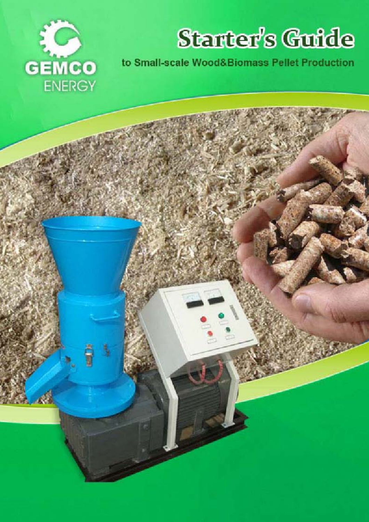

# Stanter's Guide

to Small-scale Wood&Biomass Pellet Production

Want to Build Your Own Wood Pellet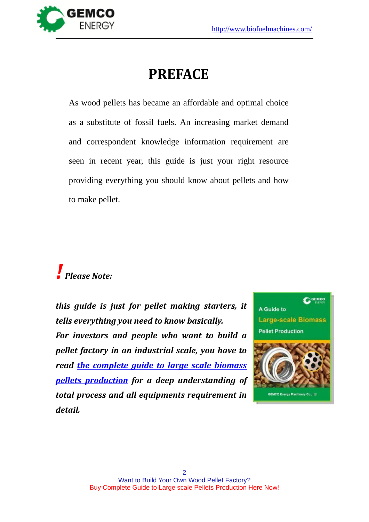

## **PREFACE**

As wood pellets has became an affordable and optimal choice as a substitute of fossil fuels. An increasing market demand and correspondent knowledge information requirement are seen in recent year, this guide is just your right resource providing everything you should know about pellets and how to make pellet.

## *! Please Note:*

*this guide is just for pellet making starters, it tells everything you need to know basically. For investors and people who want to build a pellet factory in an industrial scale, you have to read [the complete guide to large scale biomass](http://www.biofuelmachines.com/how-to-build-your-own-wood-pellet-plant.html)  [pellets production](http://www.biofuelmachines.com/how-to-build-your-own-wood-pellet-plant.html) for a deep understanding of total process and all equipments requirement in detail.*

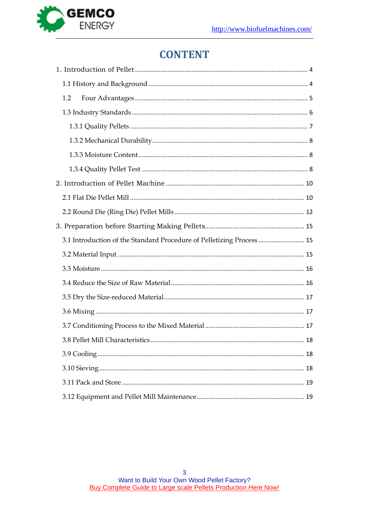

## **CONTENT**

| 1.2                                                                   |
|-----------------------------------------------------------------------|
|                                                                       |
|                                                                       |
|                                                                       |
|                                                                       |
|                                                                       |
|                                                                       |
|                                                                       |
|                                                                       |
|                                                                       |
| 3.1 Introduction of the Standard Procedure of Pelletizing Process  15 |
|                                                                       |
|                                                                       |
|                                                                       |
|                                                                       |
|                                                                       |
|                                                                       |
|                                                                       |
|                                                                       |
|                                                                       |
|                                                                       |
|                                                                       |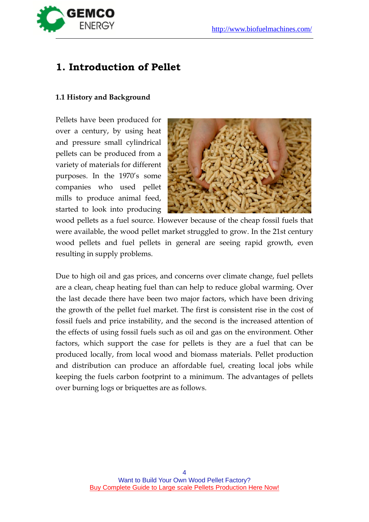

### <span id="page-3-0"></span>**1. Introduction of Pellet**

### <span id="page-3-1"></span>**1.1 History and Background**

Pellets have been produced for over a century, by using heat and pressure small cylindrical pellets can be produced from a variety of materials for different purposes. In the 1970's some companies who used pellet mills to produce animal feed, started to look into producing



wood pellets as a fuel source. However because of the cheap fossil fuels that were available, the wood pellet market struggled to grow. In the 21st century wood pellets and fuel pellets in general are seeing rapid growth, even resulting in supply problems.

Due to high oil and gas prices, and concerns over climate change, fuel pellets are a clean, cheap heating fuel than can help to reduce global warming. Over the last decade there have been two major factors, which have been driving the growth of the pellet fuel market. The first is consistent rise in the cost of fossil fuels and price instability, and the second is the increased attention of the effects of using fossil fuels such as oil and gas on the environment. Other factors, which support the case for pellets is they are a fuel that can be produced locally, from local wood and biomass materials. Pellet production and distribution can produce an affordable fuel, creating local jobs while keeping the fuels carbon footprint to a minimum. The advantages of pellets over burning logs or briquettes are as follows.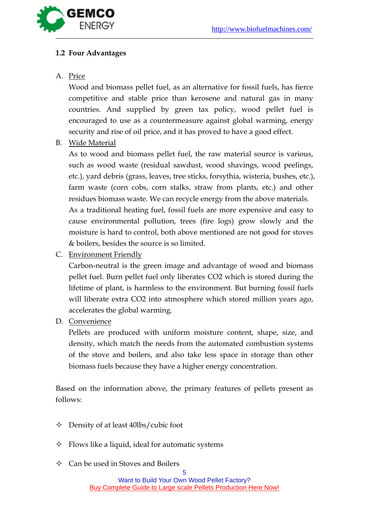

### <span id="page-4-0"></span>**1.2 Four Advantages**

### A. <u>Price</u>

Wood and biomass pellet fuel, as an alternative for fossil fuels, has fierce competitive and stable price than kerosene and natural gas in many countries. And supplied by green tax policy, wood pellet fuel is encouraged to use as a countermeasure against global warming, energy security and rise of oil price, and it has proved to have a good effect.

B. Wide Material

As to wood and biomass pellet fuel, the raw material source is various, such as wood waste (residual sawdust, wood shavings, wood peelings, etc.), yard debris (grass, leaves, tree sticks, forsythia, wisteria, bushes, etc.), farm waste (corn cobs, corn stalks, straw from plants, etc.) and other residues biomass waste. We can recycle energy from the above materials. As a traditional heating fuel, fossil fuels are more expensive and easy to cause environmental pollution, trees (fire logs) grow slowly and the moisture is hard to control, both above mentioned are not good for stoves & boilers, besides the source is so limited.

C. Environment Friendly

Carbon-neutral is the green image and advantage of wood and biomass pellet fuel. Burn pellet fuel only liberates CO2 which is stored during the lifetime of plant, is harmless to the environment. But burning fossil fuels will liberate extra CO2 into atmosphere which stored million years ago, accelerates the global warming.

D. Convenience

Pellets are produced with uniform moisture content, shape, size, and density, which match the needs from the automated combustion systems of the stove and boilers, and also take less space in storage than other biomass fuels because they have a higher energy concentration.

Based on the information above, the primary features of pellets present as follows:

- $\Diamond$  Density of at least 40lbs/cubic foot
- $\Diamond$  Flows like a liquid, ideal for automatic systems
- $\Diamond$  Can be used in Stoves and Boilers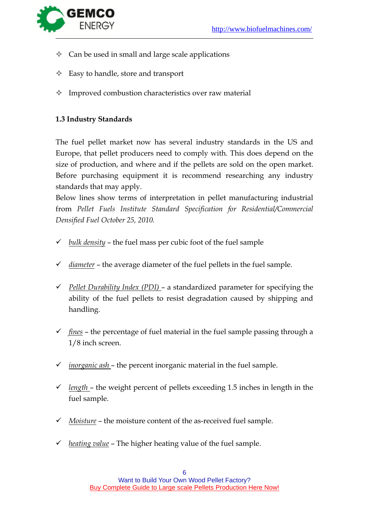

- $\Diamond$  Can be used in small and large scale applications
- $\triangle$  Easy to handle, store and transport
- $\Diamond$  Improved combustion characteristics over raw material

### <span id="page-5-0"></span>**1.3 Industry Standards**

The fuel pellet market now has several industry standards in the US and Europe, that pellet producers need to comply with. This does depend on the size of production, and where and if the pellets are sold on the open market. Before purchasing equipment it is recommend researching any industry standards that may apply.

Below lines show terms of interpretation in pellet manufacturing industrial from *Pellet Fuels Institute Standard Specification for Residential/Commercial Densified Fuel October 25, 2010.*

- *bulk density* the fuel mass per cubic foot of the fuel sample
- *diameter* the average diameter of the fuel pellets in the fuel sample.
- *Pellet Durability Index (PDI)*  a standardized parameter for specifying the ability of the fuel pellets to resist degradation caused by shipping and handling.
- *fines* the percentage of fuel material in the fuel sample passing through a 1/8 inch screen.
- *inorganic ash*  the percent inorganic material in the fuel sample.
- $\checkmark$  length the weight percent of pellets exceeding 1.5 inches in length in the fuel sample.
- *Moisture* the moisture content of the as-received fuel sample.
- $\checkmark$  *heating value* The higher heating value of the fuel sample.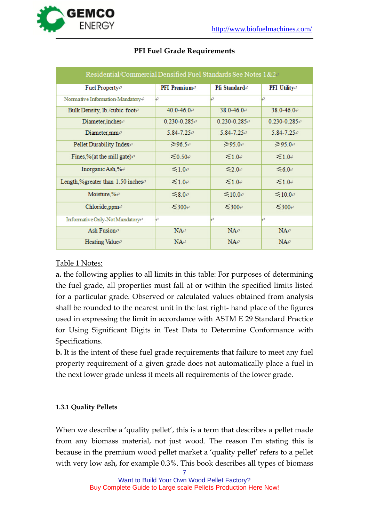

| Residential/Commercial Densified Fuel Standards See Notes 1&2 <sup>p</sup> |                                |                          |                                     |  |  |  |  |  |
|----------------------------------------------------------------------------|--------------------------------|--------------------------|-------------------------------------|--|--|--|--|--|
| Fuel Property+                                                             | <b>PFI</b> Premium $\triangle$ | Pfi Standarde            | <b>PFI</b> Utilitye                 |  |  |  |  |  |
| Normative Information-Mandatory <sup>e</sup>                               | Ļ٥                             | تىا                      | تىا                                 |  |  |  |  |  |
| Bulk Density, 1b./cubic foote                                              | $40.0 - 46.0 -$                | $38.0 - 46.0$            | $38.0 - 46.0 +$                     |  |  |  |  |  |
| Diameter, inchese                                                          | $0.230 - 0.285 +$              | $0.230 - 0.285 +$        | $0.230 - 0.285 +$                   |  |  |  |  |  |
| Diameter, $mm \rightarrow$                                                 | $5.84 - 7.25 +$                | $5.84 - 7.25 +$          | $5.84 - 7.25 +$                     |  |  |  |  |  |
| Pellet Durability Index+                                                   | $\geq 96.5$ <sup>e</sup>       | $\geq 95.0$ <sup>e</sup> | $\geq$ 95.0 $\degree$               |  |  |  |  |  |
| Fines,%(at the mill gate) $\theta$                                         | $≤0.50$ <sup>o</sup>           | $≤1.0$ e                 | $≤1.0$ <sup>e</sup>                 |  |  |  |  |  |
| Inorganic Ash,%+                                                           | $\leq 1.0$ e                   | $\approx 2.0$ e          | $\leq 6.0$ <sup>e</sup>             |  |  |  |  |  |
| Length,%greater than 1.50 inchese                                          | $≤1.0$ ⊬                       | $≤1.0$ e                 | $≤1.0$ <sup><math>\div</math></sup> |  |  |  |  |  |
| Moisture,%+                                                                | $≤8.0$ ⊬                       | $≤10.0$ <sup>e</sup>     | $≤10.0$ <sup>e</sup>                |  |  |  |  |  |
| Chloride, ppm-                                                             | $≤300-$                        | $≤300$ <sup>e</sup>      | $≤300-$                             |  |  |  |  |  |
| Informative Only-Not Mandatory <sup>®</sup>                                | Ŀ۶                             | تها                      | Ŀ۶                                  |  |  |  |  |  |
| Ash Fusion®                                                                | $NA \cdot$                     | $NA \cdot$               | $NA^{\rho}$                         |  |  |  |  |  |
| Heating Value®                                                             | $NA \cdot$                     | $NA \cdot$               | $NA \cdot$                          |  |  |  |  |  |

### **PFI Fuel Grade Requirements**

### Table 1 Notes:

**a.** the following applies to all limits in this table: For purposes of determining the fuel grade, all properties must fall at or within the specified limits listed for a particular grade. Observed or calculated values obtained from analysis shall be rounded to the nearest unit in the last right- hand place of the figures used in expressing the limit in accordance with ASTM E 29 Standard Practice for Using Significant Digits in Test Data to Determine Conformance with Specifications.

**b.** It is the intent of these fuel grade requirements that failure to meet any fuel property requirement of a given grade does not automatically place a fuel in the next lower grade unless it meets all requirements of the lower grade.

### <span id="page-6-0"></span>**1.3.1 Quality Pellets**

When we describe a 'quality pellet', this is a term that describes a pellet made from any biomass material, not just wood. The reason I'm stating this is because in the premium wood pellet market a 'quality pellet' refers to a pellet with very low ash, for example 0.3%. This book describes all types of biomass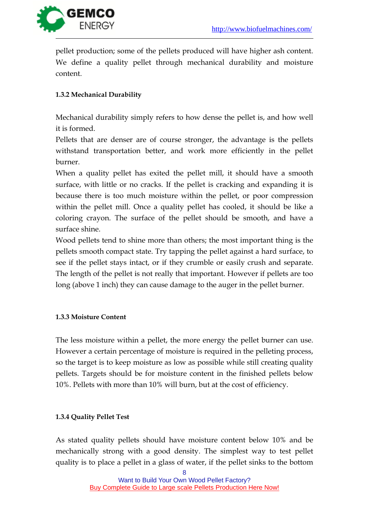

pellet production; some of the pellets produced will have higher ash content. We define a quality pellet through mechanical durability and moisture content.

### <span id="page-7-0"></span>**1.3.2 Mechanical Durability**

Mechanical durability simply refers to how dense the pellet is, and how well it is formed.

Pellets that are denser are of course stronger, the advantage is the pellets withstand transportation better, and work more efficiently in the pellet burner.

When a quality pellet has exited the pellet mill, it should have a smooth surface, with little or no cracks. If the pellet is cracking and expanding it is because there is too much moisture within the pellet, or poor compression within the pellet mill. Once a quality pellet has cooled, it should be like a coloring crayon. The surface of the pellet should be smooth, and have a surface shine.

Wood pellets tend to shine more than others; the most important thing is the pellets smooth compact state. Try tapping the pellet against a hard surface, to see if the pellet stays intact, or if they crumble or easily crush and separate. The length of the pellet is not really that important. However if pellets are too long (above 1 inch) they can cause damage to the auger in the pellet burner.

### <span id="page-7-1"></span>**1.3.3 Moisture Content**

The less moisture within a pellet, the more energy the pellet burner can use. However a certain percentage of moisture is required in the pelleting process, so the target is to keep moisture as low as possible while still creating quality pellets. Targets should be for moisture content in the finished pellets below 10%. Pellets with more than 10% will burn, but at the cost of efficiency.

### <span id="page-7-2"></span>**1.3.4 Quality Pellet Test**

As stated quality pellets should have moisture content below 10% and be mechanically strong with a good density. The simplest way to test pellet quality is to place a pellet in a glass of water, if the pellet sinks to the bottom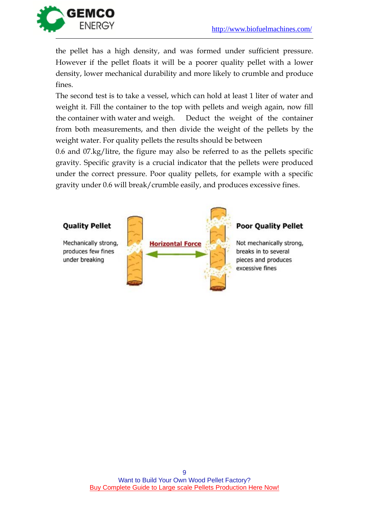

the pellet has a high density, and was formed under sufficient pressure. However if the pellet floats it will be a poorer quality pellet with a lower density, lower mechanical durability and more likely to crumble and produce fines.

The second test is to take a vessel, which can hold at least 1 liter of water and weight it. Fill the container to the top with pellets and weigh again, now fill the container with water and weigh. Deduct the weight of the container from both measurements, and then divide the weight of the pellets by the weight water. For quality pellets the results should be between

0.6 and 07.kg/litre, the figure may also be referred to as the pellets specific gravity. Specific gravity is a crucial indicator that the pellets were produced under the correct pressure. Poor quality pellets, for example with a specific gravity under 0.6 will break/crumble easily, and produces excessive fines.

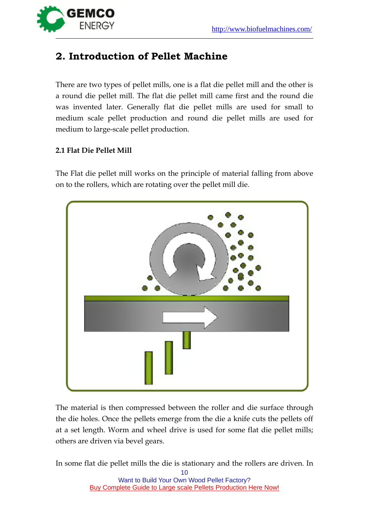

### <span id="page-9-0"></span>**2. Introduction of Pellet Machine**

There are two types of pellet mills, one is a flat die pellet mill and the other is a round die pellet mill. The flat die pellet mill came first and the round die was invented later. Generally flat die pellet mills are used for small to medium scale pellet production and round die pellet mills are used for medium to large-scale pellet production.

### <span id="page-9-1"></span>**2.1 Flat Die Pellet Mill**

The Flat die pellet mill works on the principle of material falling from above on to the rollers, which are rotating over the pellet mill die.



The material is then compressed between the roller and die surface through the die holes. Once the pellets emerge from the die a knife cuts the pellets off at a set length. Worm and wheel drive is used for some flat die pellet mills; others are driven via bevel gears.

In some flat die pellet mills the die is stationary and the rollers are driven. In

10 Want to Build Your Own Wood Pellet Factory? **[Buy Complete Guide to Large scale Pellets Production Here Now!](http://www.biofuelmachines.com/how-to-build-your-own-wood-pellet-plant.html)**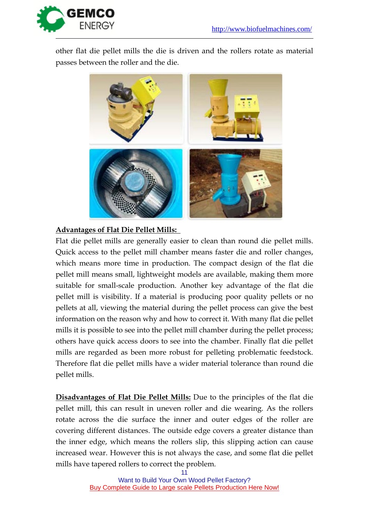

other flat die pellet mills the die is driven and the rollers rotate as material passes between the roller and the die.



### **Advantages of Flat Die Pellet Mills:**

Flat die pellet mills are generally easier to clean than round die pellet mills. Quick access to the pellet mill chamber means faster die and roller changes, which means more time in production. The compact design of the flat die pellet mill means small, lightweight models are available, making them more suitable for small-scale production. Another key advantage of the flat die pellet mill is visibility. If a material is producing poor quality pellets or no pellets at all, viewing the material during the pellet process can give the best information on the reason why and how to correct it. With many flat die pellet mills it is possible to see into the pellet mill chamber during the pellet process; others have quick access doors to see into the chamber. Finally flat die pellet mills are regarded as been more robust for pelleting problematic feedstock. Therefore flat die pellet mills have a wider material tolerance than round die pellet mills.

**Disadvantages of Flat Die Pellet Mills:** Due to the principles of the flat die pellet mill, this can result in uneven roller and die wearing. As the rollers rotate across the die surface the inner and outer edges of the roller are covering different distances. The outside edge covers a greater distance than the inner edge, which means the rollers slip, this slipping action can cause increased wear. However this is not always the case, and some flat die pellet mills have tapered rollers to correct the problem.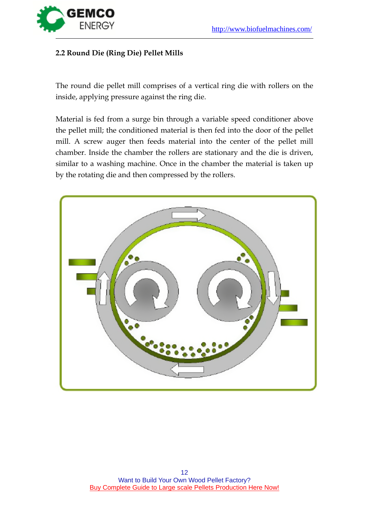

### <span id="page-11-0"></span>**2.2 Round Die (Ring Die) Pellet Mills**

The round die pellet mill comprises of a vertical ring die with rollers on the inside, applying pressure against the ring die.

Material is fed from a surge bin through a variable speed conditioner above the pellet mill; the conditioned material is then fed into the door of the pellet mill. A screw auger then feeds material into the center of the pellet mill chamber. Inside the chamber the rollers are stationary and the die is driven, similar to a washing machine. Once in the chamber the material is taken up by the rotating die and then compressed by the rollers.

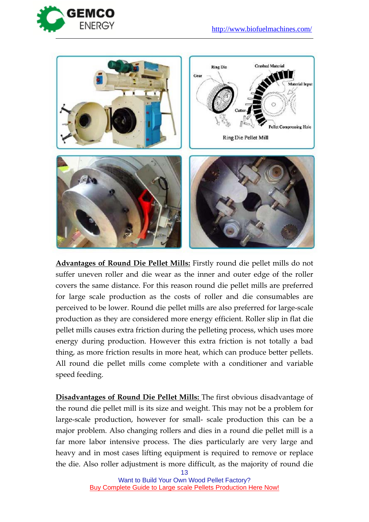



**Advantages of Round Die Pellet Mills:** Firstly round die pellet mills do not suffer uneven roller and die wear as the inner and outer edge of the roller covers the same distance. For this reason round die pellet mills are preferred for large scale production as the costs of roller and die consumables are perceived to be lower. Round die pellet mills are also preferred for large-scale production as they are considered more energy efficient. Roller slip in flat die pellet mills causes extra friction during the pelleting process, which uses more energy during production. However this extra friction is not totally a bad thing, as more friction results in more heat, which can produce better pellets. All round die pellet mills come complete with a conditioner and variable speed feeding.

**Disadvantages of Round Die Pellet Mills:** The first obvious disadvantage of the round die pellet mill is its size and weight. This may not be a problem for large-scale production, however for small- scale production this can be a major problem. Also changing rollers and dies in a round die pellet mill is a far more labor intensive process. The dies particularly are very large and heavy and in most cases lifting equipment is required to remove or replace the die. Also roller adjustment is more difficult, as the majority of round die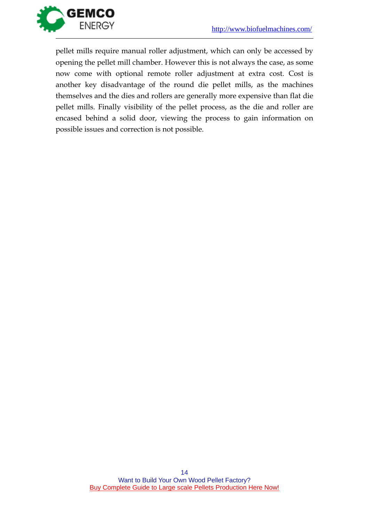

pellet mills require manual roller adjustment, which can only be accessed by opening the pellet mill chamber. However this is not always the case, as some now come with optional remote roller adjustment at extra cost. Cost is another key disadvantage of the round die pellet mills, as the machines themselves and the dies and rollers are generally more expensive than flat die pellet mills. Finally visibility of the pellet process, as the die and roller are encased behind a solid door, viewing the process to gain information on possible issues and correction is not possible.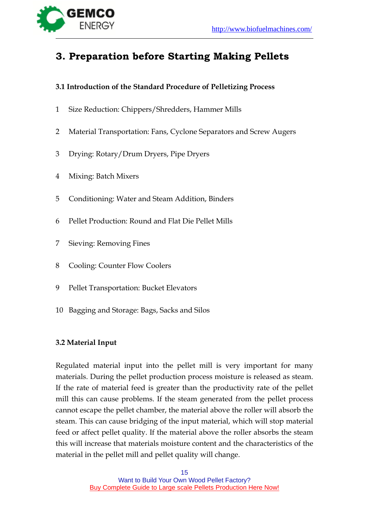

### <span id="page-14-0"></span>**3. Preparation before Starting Making Pellets**

### <span id="page-14-1"></span>**3.1 Introduction of the Standard Procedure of Pelletizing Process**

- 1 Size Reduction: Chippers/Shredders, Hammer Mills
- 2 Material Transportation: Fans, Cyclone Separators and Screw Augers
- 3 Drying: Rotary/Drum Dryers, Pipe Dryers
- 4 Mixing: Batch Mixers
- 5 Conditioning: Water and Steam Addition, Binders
- 6 Pellet Production: Round and Flat Die Pellet Mills
- 7 Sieving: Removing Fines
- 8 Cooling: Counter Flow Coolers
- 9 Pellet Transportation: Bucket Elevators
- 10 Bagging and Storage: Bags, Sacks and Silos

### <span id="page-14-2"></span>**3.2 Material Input**

Regulated material input into the pellet mill is very important for many materials. During the pellet production process moisture is released as steam. If the rate of material feed is greater than the productivity rate of the pellet mill this can cause problems. If the steam generated from the pellet process cannot escape the pellet chamber, the material above the roller will absorb the steam. This can cause bridging of the input material, which will stop material feed or affect pellet quality. If the material above the roller absorbs the steam this will increase that materials moisture content and the characteristics of the material in the pellet mill and pellet quality will change.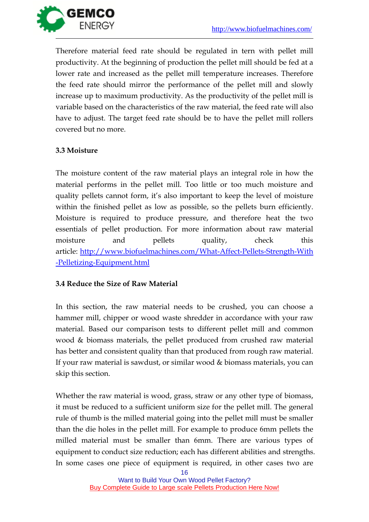

Therefore material feed rate should be regulated in tern with pellet mill productivity. At the beginning of production the pellet mill should be fed at a lower rate and increased as the pellet mill temperature increases. Therefore the feed rate should mirror the performance of the pellet mill and slowly increase up to maximum productivity. As the productivity of the pellet mill is variable based on the characteristics of the raw material, the feed rate will also have to adjust. The target feed rate should be to have the pellet mill rollers covered but no more.

### <span id="page-15-0"></span>**3.3 Moisture**

The moisture content of the raw material plays an integral role in how the material performs in the pellet mill. Too little or too much moisture and quality pellets cannot form, it's also important to keep the level of moisture within the finished pellet as low as possible, so the pellets burn efficiently. Moisture is required to produce pressure, and therefore heat the two essentials of pellet production. For more information about raw material moisture and pellets quality, check this article: [http://www.biofuelmachines.com/What-Affect-Pellets-Strength-With](http://www.biofuelmachines.com/What-Affect-Pellets-Strength-With-Pelletizing-Equipment.html) [-Pelletizing-Equipment.html](http://www.biofuelmachines.com/What-Affect-Pellets-Strength-With-Pelletizing-Equipment.html)

### <span id="page-15-1"></span>**3.4 Reduce the Size of Raw Material**

In this section, the raw material needs to be crushed, you can choose a hammer mill, chipper or wood waste shredder in accordance with your raw material. Based our comparison tests to different pellet mill and common wood & biomass materials, the pellet produced from crushed raw material has better and consistent quality than that produced from rough raw material. If your raw material is sawdust, or similar wood & biomass materials, you can skip this section.

Whether the raw material is wood, grass, straw or any other type of biomass, it must be reduced to a sufficient uniform size for the pellet mill. The general rule of thumb is the milled material going into the pellet mill must be smaller than the die holes in the pellet mill. For example to produce 6mm pellets the milled material must be smaller than 6mm. There are various types of equipment to conduct size reduction; each has different abilities and strengths. In some cases one piece of equipment is required, in other cases two are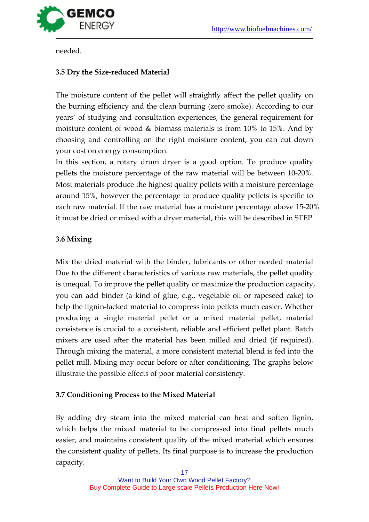

<span id="page-16-0"></span>needed.

### **3.5 Dry the Size-reduced Material**

The moisture content of the pellet will straightly affect the pellet quality on the burning efficiency and the clean burning (zero smoke). According to our years` of studying and consultation experiences, the general requirement for moisture content of wood & biomass materials is from 10% to 15%. And by choosing and controlling on the right moisture content, you can cut down your cost on energy consumption.

In this section, a rotary drum dryer is a good option. To produce quality pellets the moisture percentage of the raw material will be between 10-20%. Most materials produce the highest quality pellets with a moisture percentage around 15%, however the percentage to produce quality pellets is specific to each raw material. If the raw material has a moisture percentage above 15-20% it must be dried or mixed with a dryer material, this will be described in STEP

### <span id="page-16-1"></span>**3.6 Mixing**

Mix the dried material with the binder, lubricants or other needed material Due to the different characteristics of various raw materials, the pellet quality is unequal. To improve the pellet quality or maximize the production capacity, you can add binder (a kind of glue, e.g., vegetable oil or rapeseed cake) to help the lignin-lacked material to compress into pellets much easier. Whether producing a single material pellet or a mixed material pellet, material consistence is crucial to a consistent, reliable and efficient pellet plant. Batch mixers are used after the material has been milled and dried (if required). Through mixing the material, a more consistent material blend is fed into the pellet mill. Mixing may occur before or after conditioning. The graphs below illustrate the possible effects of poor material consistency.

### <span id="page-16-2"></span>**3.7 Conditioning Process to the Mixed Material**

By adding dry steam into the mixed material can heat and soften lignin, which helps the mixed material to be compressed into final pellets much easier, and maintains consistent quality of the mixed material which ensures the consistent quality of pellets. Its final purpose is to increase the production capacity.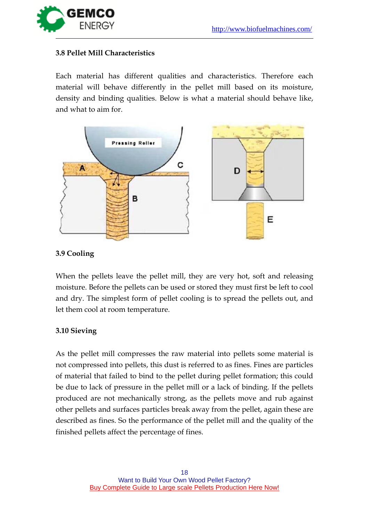

### <span id="page-17-0"></span>**3.8 Pellet Mill Characteristics**

Each material has different qualities and characteristics. Therefore each material will behave differently in the pellet mill based on its moisture, density and binding qualities. Below is what a material should behave like, and what to aim for.



### <span id="page-17-1"></span>**3.9 Cooling**

When the pellets leave the pellet mill, they are very hot, soft and releasing moisture. Before the pellets can be used or stored they must first be left to cool and dry. The simplest form of pellet cooling is to spread the pellets out, and let them cool at room temperature.

### <span id="page-17-2"></span>**3.10 Sieving**

As the pellet mill compresses the raw material into pellets some material is not compressed into pellets, this dust is referred to as fines. Fines are particles of material that failed to bind to the pellet during pellet formation; this could be due to lack of pressure in the pellet mill or a lack of binding. If the pellets produced are not mechanically strong, as the pellets move and rub against other pellets and surfaces particles break away from the pellet, again these are described as fines. So the performance of the pellet mill and the quality of the finished pellets affect the percentage of fines.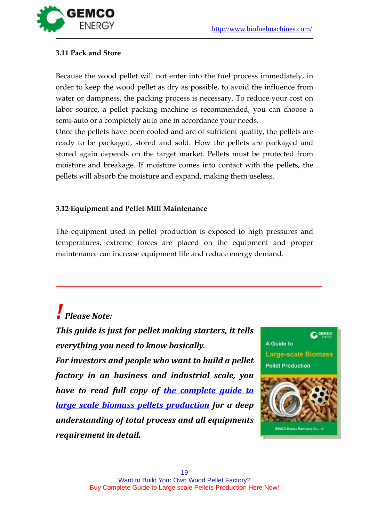

### <span id="page-18-0"></span>**3.11 Pack and Store**

Because the wood pellet will not enter into the fuel process immediately, in order to keep the wood pellet as dry as possible, to avoid the influence from water or dampness, the packing process is necessary. To reduce your cost on labor source, a pellet packing machine is recommended, you can choose a semi-auto or a completely auto one in accordance your needs.

Once the pellets have been cooled and are of sufficient quality, the pellets are ready to be packaged, stored and sold. How the pellets are packaged and stored again depends on the target market. Pellets must be protected from moisture and breakage. If moisture comes into contact with the pellets, the pellets will absorb the moisture and expand, making them useless.

### <span id="page-18-1"></span>**3.12 Equipment and Pellet Mill Maintenance**

The equipment used in pellet production is exposed to high pressures and temperatures, extreme forces are placed on the equipment and proper maintenance can increase equipment life and reduce energy demand.

## *! Please Note:*

*This guide is just for pellet making starters, it tells everything you need to know basically.*

*For investors and people who want to build a pellet factory in an business and industrial scale, you have to read full copy of [the complete guide to](http://www.biofuelmachines.com/how-to-build-your-own-wood-pellet-plant.html)  [large scale biomass pellets production](http://www.biofuelmachines.com/how-to-build-your-own-wood-pellet-plant.html) for a deep understanding of total process and all equipments requirement in detail.*